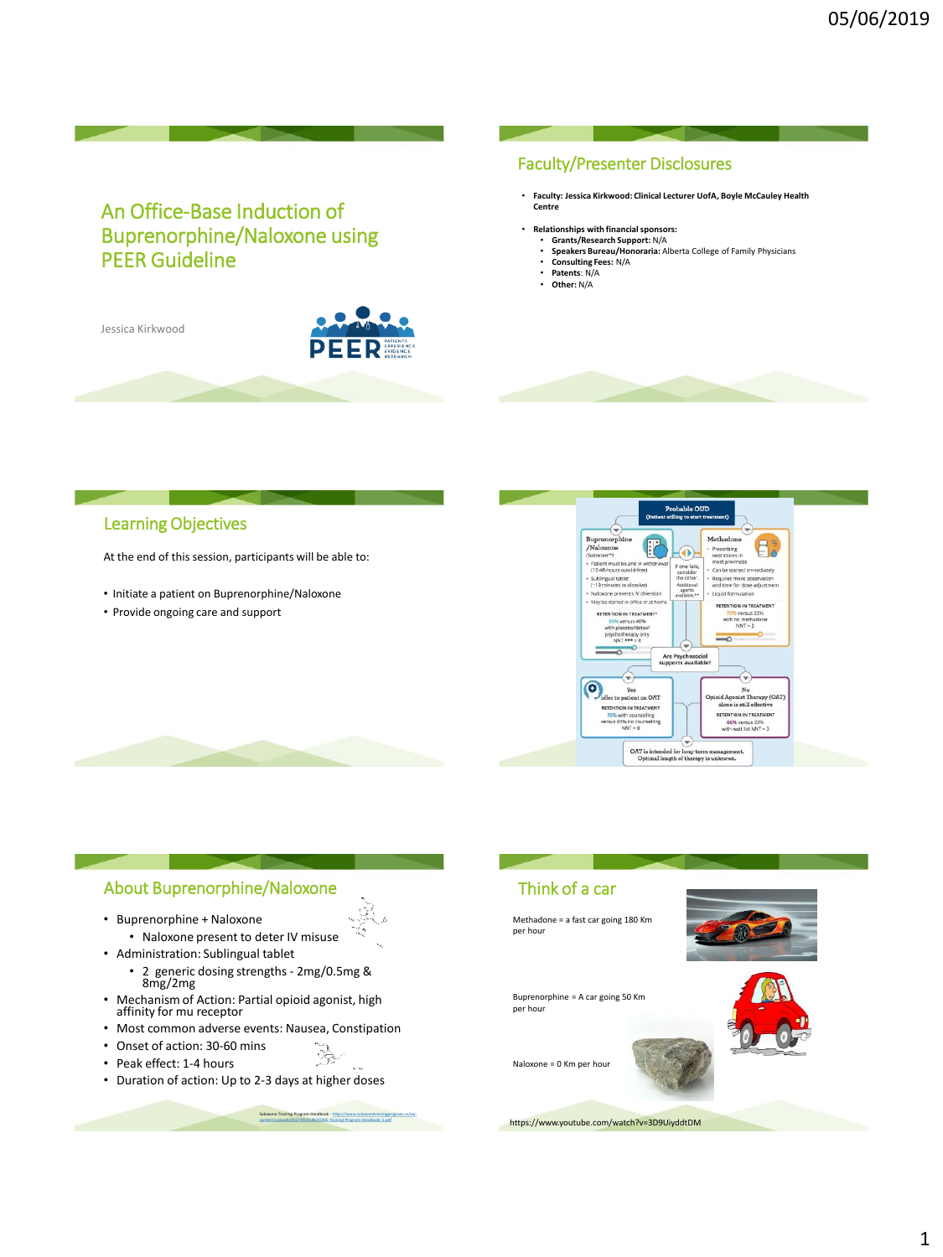# An Office-Base Induction of Buprenorphine/Naloxone using PEER Guideline

Jessica Kirkwood



#### Faculty/Presenter Disclosures

- **Faculty: Jessica Kirkwood: Clinical Lecturer UofA, Boyle McCauley Health Centre**
- **Relationships with financial sponsors:**
	- **Grants/Research Support:** N/A
	- **Speakers Bureau/Honoraria:** Alberta College of Family Physicians
	- **Consulting Fees:** N/A **Patents**: N/A
	- **Other:** N/A

## Learning Objectives

At the end of this session, participants will be able to:

- Initiate a patient on Buprenorphine/Naloxone
- Provide ongoing care and support



## About Buprenorphine/Naloxone

- Buprenorphine + Naloxone
- Naloxone present to deter IV misuse • Administration: Sublingual tablet
	- 2 generic dosing strengths 2mg/0.5mg & 8mg/2mg
- Mechanism of Action: Partial opioid agonist, high affinity for mu receptor
- Most common adverse events: Nausea, Constipation
- Onset of action: 30-60 mins
- Peak effect: 1-4 hours
- Duration of action: Up to 2-3 days at higher doses

Suboxone Training Program Handbook - https://www.suboxonetrainingprogram.ca/wp-[content/uploads/2017/09/SUBOXONE-Training-Program-Handbook-1.pdf](https://www.suboxonetrainingprogram.ca/wp-content/uploads/2017/09/SUBOXONE-Training-Program-Handbook-1.pdf)

 $\frac{1}{\sqrt{2}}$ .<br>Album

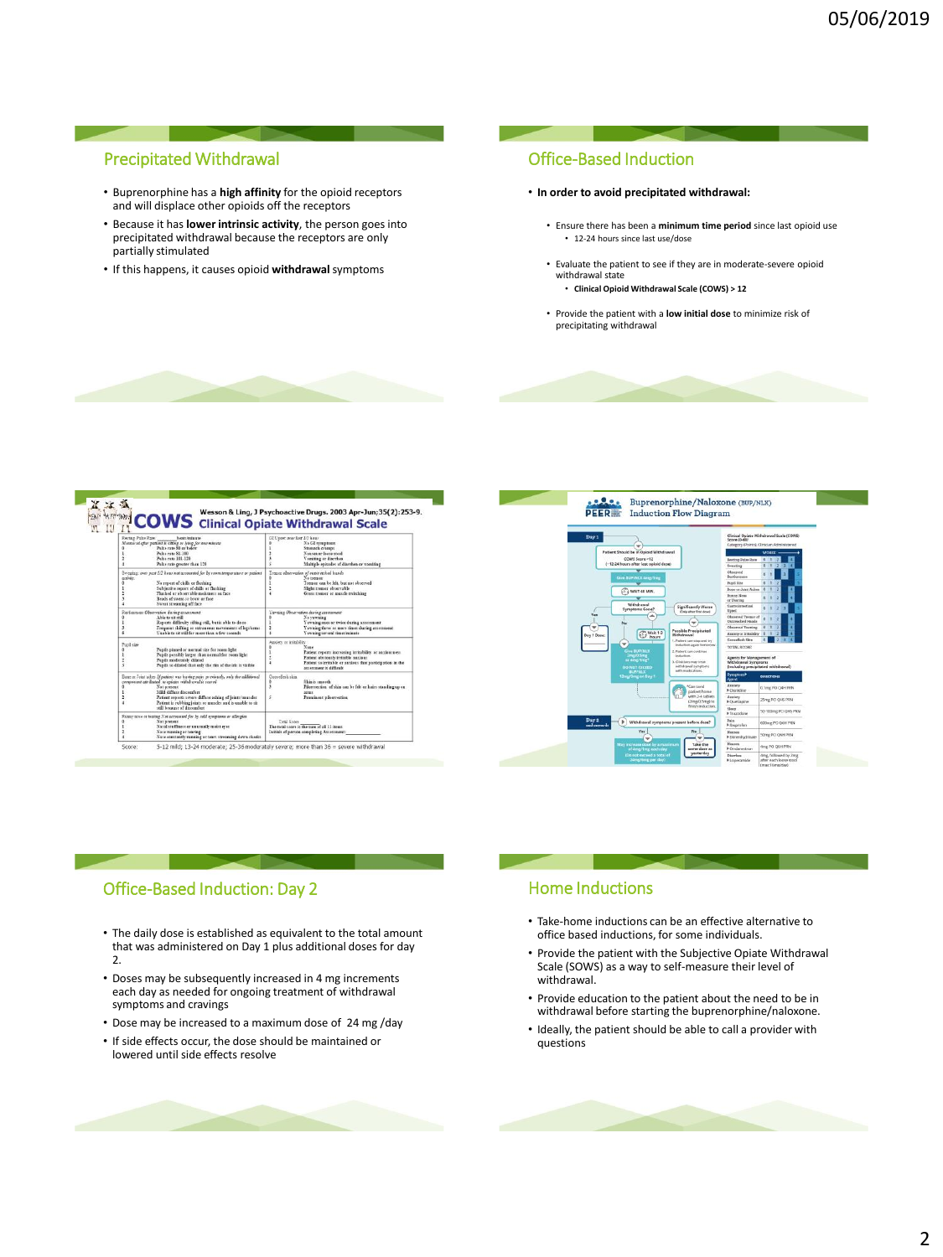## Precipitated Withdrawal

- Buprenorphine has a **high affinity** for the opioid receptors and will displace other opioids off the receptors
- Because it has **lower intrinsic activity**, the person goes into precipitated withdrawal because the receptors are only partially stimulated
- If this happens, it causes opioid **withdrawal**symptoms

#### Office-Based Induction

#### • **In order to avoid precipitated withdrawal:**

- Ensure there has been a **minimum time period** since last opioid use • 12-24 hours since last use/dose
- Evaluate the patient to see if they are in moderate-severe opioid withdrawal state
	- **Clinical Opioid Withdrawal Scale (COWS) > 12**
- Provide the patient with a **low initial dose** to minimize risk of precipitating withdrawal

|                                                                                                                                                                                                                                                                                                                                                              | <b>COWS</b> Clinical Opiate Withdrawal Scale                                                                                                                                                                                                    |
|--------------------------------------------------------------------------------------------------------------------------------------------------------------------------------------------------------------------------------------------------------------------------------------------------------------------------------------------------------------|-------------------------------------------------------------------------------------------------------------------------------------------------------------------------------------------------------------------------------------------------|
| Restor Pulse Rate:<br>beats/minute.<br>Measured glue perient is siring or hing for one minute<br>Pulse rate 80 or below<br>Police rate \$1,100<br>Pulse rate 101-120<br>Palse rate greater than 120                                                                                                                                                          | GI Upset over last 1/2 hour<br>No GI symptoms<br>Stemach cramps<br>Nausea or loose stool<br>Vemitiag or distribut<br>Multiple spitedet of diarrhea or vomiting                                                                                  |
| Sweeting: over past 1/2 how not accounted for by room temperature or patient.<br>artists.<br>No report of chills or flushing<br>٠<br>Subjective report of chills or flushing<br>Fluthed or observable moistness on face<br>Reads of sweat co brow or face<br>Sweat streaming off face                                                                        | Tretace observation of outstratched hands<br>No tremer<br>Tremer can be felt, but not observed<br>ż<br>Skeht trenor shurvable<br>A.<br>Grass tremor or muscle restching                                                                         |
| Retiercoss Observation during assessment<br>Able to sit still<br>Reports difficulty sifting still, but is able to do se-<br>Frequent thilting or extraneous movements of legitizems.<br>в<br>Unable to sit still for more than a few seconds.<br>٠                                                                                                           | Tavaing Observation during assessment<br>No vawning<br>Yawning once or rwice during assessment<br>d<br>Yawains three or mare times during assessment.<br>٠<br>Vanishe overal time injuste                                                       |
| Pupil size<br>Pupils pinned or nermal size for room light<br>Papils possibly larger than normal for room light<br>Panili moderately dilated<br>Pupils to dilated that only the rim of the iris is visible<br>s                                                                                                                                               | Anxiety or initiability<br>Name<br>Patient reports increasing irritability or auxiousness<br>Patient abviously initable auxious<br>$\ddot{\phantom{1}}$<br>Patient to irritable or anxious that participation in the<br>accessment is difficult |
| Bone or Joint sches If patient was having pain previously, only the additional<br>component attributed to assister withdrawal is reored<br>o<br>Not present<br>M54 differedisconfort<br>٠<br>ž<br>Patient reports severe diffuse aching of joints/muscles.<br>Patient is rubbing joints or muscles and is unable to sit<br>×.<br>vtill because of discomfort | Generalisch skies<br>٠<br>Skin is smooth<br>$\overline{\mathbf{3}}$<br>Pilostrection of skin can be felt or hairs standing up on<br>arm t<br>5<br>Promisent pilogreection                                                                       |
| Runny note or tearing Net accounted for by celd remptoms or allergies<br>Not nevtent<br>Natal stuffment or unusually maint ever.<br>Note running or tearing<br>Note constantly running or tears streaming down cheeks.                                                                                                                                       | Total Score<br>The total scare is the sum of all 11 items.<br>Initials of person completing Assessment:                                                                                                                                         |

i.



#### Office-Based Induction: Day 2

- The daily dose is established as equivalent to the total amount that was administered on Day 1 plus additional doses for day 2.
- Doses may be subsequently increased in 4 mg increments each day as needed for ongoing treatment of withdrawal symptoms and cravings
- Dose may be increased to a maximum dose of 24 mg /day
- If side effects occur, the dose should be maintained or lowered until side effects resolve

## Home Inductions

- Take-home inductions can be an effective alternative to office based inductions, for some individuals.
- Provide the patient with the Subjective Opiate Withdrawal Scale (SOWS) as a way to self-measure their level of withdrawal.
- Provide education to the patient about the need to be in withdrawal before starting the buprenorphine/naloxone.
- Ideally, the patient should be able to call a provider with questions